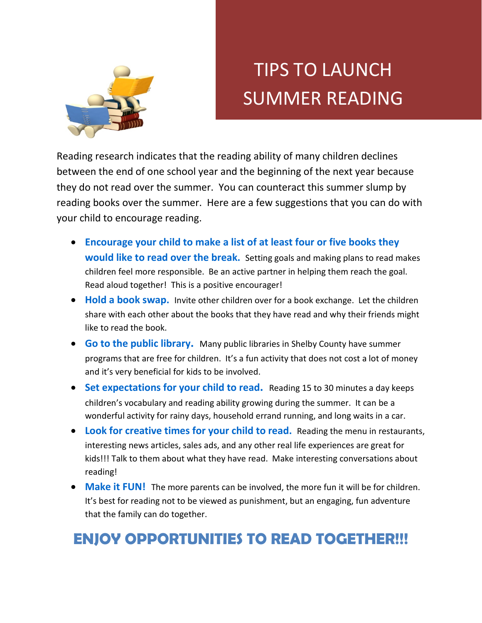

## TIPS TO LAUNCH SUMMER READING

Reading research indicates that the reading ability of many children declines between the end of one school year and the beginning of the next year because they do not read over the summer. You can counteract this summer slump by reading books over the summer. Here are a few suggestions that you can do with your child to encourage reading.

- **Encourage your child to make a list of at least four or five books they would like to read over the break.** Setting goals and making plans to read makes children feel more responsible. Be an active partner in helping them reach the goal. Read aloud together! This is a positive encourager!
- **Hold a book swap.** Invite other children over for a book exchange. Let the children share with each other about the books that they have read and why their friends might like to read the book.
- **Go to the public library.** Many public libraries in Shelby County have summer programs that are free for children. It's a fun activity that does not cost a lot of money and it's very beneficial for kids to be involved.
- **Set expectations for your child to read.** Reading 15 to 30 minutes a day keeps children's vocabulary and reading ability growing during the summer. It can be a wonderful activity for rainy days, household errand running, and long waits in a car.
- **Look for creative times for your child to read.** Reading the menu in restaurants, interesting news articles, sales ads, and any other real life experiences are great for kids!!! Talk to them about what they have read. Make interesting conversations about reading!
- Make it FUN! The more parents can be involved, the more fun it will be for children. It's best for reading not to be viewed as punishment, but an engaging, fun adventure that the family can do together.

## **ENJOY OPPORTUNITIES TO READ TOGETHER!!!**